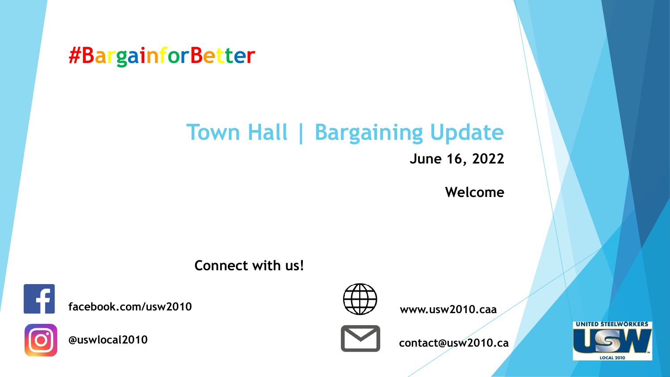# **#BargainforBetter**

# **Town Hall | Bargaining Update**

#### **June 16, 2022**

**Welcome**

**Connect with us!**



**facebook.com/usw2010**



**@uswlocal2010**



**www.usw2010.caa**



**contact@usw2010.ca**

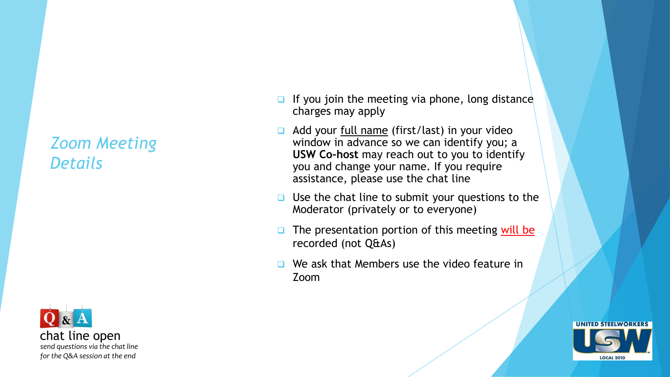### *Zoom Meeting Details*



- ❑ If you join the meeting via phone, long distance charges may apply
- ❑ Add your full name (first/last) in your video window in advance so we can identify you; a **USW Co-host** may reach out to you to identify you and change your name. If you require assistance, please use the chat line
- ❑ Use the chat line to submit your questions to the Moderator (privately or to everyone)
- $\Box$  The presentation portion of this meeting will be recorded (not Q&As)
- ❑ We ask that Members use the video feature in Zoom

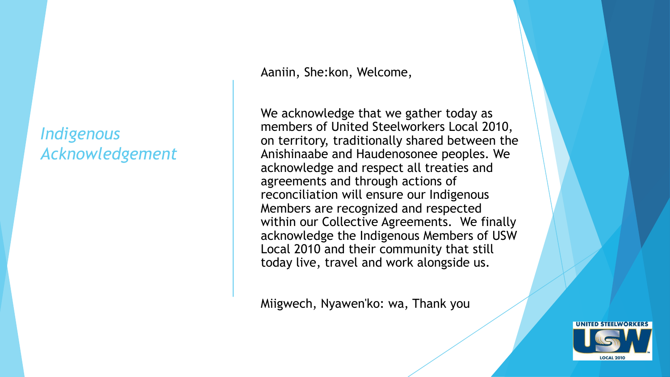### *Indigenous Acknowledgement*

Aaniin, She:kon, Welcome,

We acknowledge that we gather today as members of United Steelworkers Local 2010, on territory, traditionally shared between the Anishinaabe and Haudenosonee peoples. We acknowledge and respect all treaties and agreements and through actions of reconciliation will ensure our Indigenous Members are recognized and respected within our Collective Agreements. We finally acknowledge the Indigenous Members of USW Local 2010 and their community that still today live, travel and work alongside us.

Miigwech, Nyawen'ko: wa, Thank you

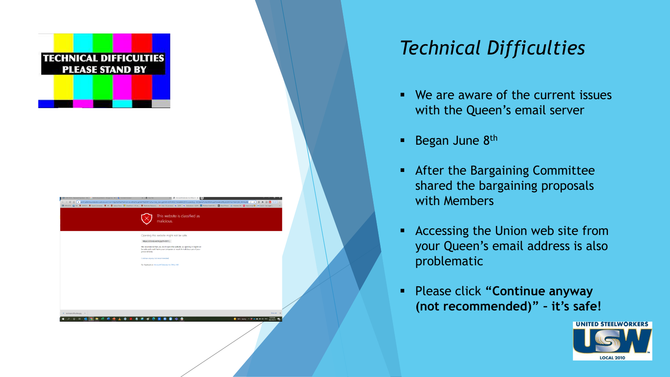

| This website is classified as<br>malicious.                                                                                                                         |  |
|---------------------------------------------------------------------------------------------------------------------------------------------------------------------|--|
| Opening this website might not be safe.                                                                                                                             |  |
| https://r20.rs6.net/tn.jsp?f=0011                                                                                                                                   |  |
| We recommend that you don't open this website, as opening it might not<br>be safe and could harm your computer or result in malicious use of your<br>personal data. |  |
| Continue anyway (not recommended)                                                                                                                                   |  |
| For Feedback on Microsoft Defender for Office 365                                                                                                                   |  |
|                                                                                                                                                                     |  |
|                                                                                                                                                                     |  |
|                                                                                                                                                                     |  |
|                                                                                                                                                                     |  |
|                                                                                                                                                                     |  |
|                                                                                                                                                                     |  |
|                                                                                                                                                                     |  |

# *Technical Difficulties*

- We are aware of the current issues with the Queen's email server
- **Began June 8th**
- **EXEC** 11 After the Bargaining Committee shared the bargaining proposals with Members
- **EXEC** Accessing the Union web site from your Queen's email address is also problematic
- Please click **"Continue anyway (not recommended)" – it's safe!**

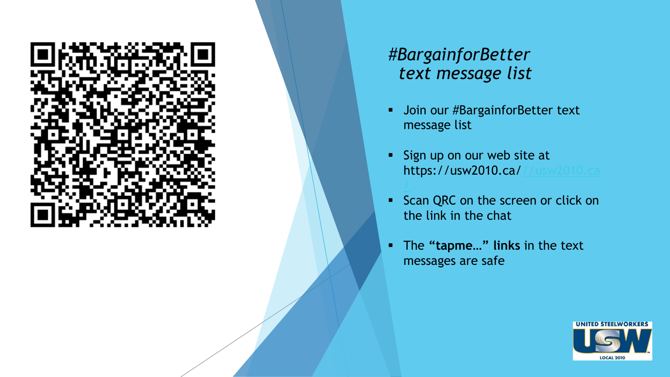

### *#BargainforBetter text message list*

- **·** Join our #BargainforBetter text message list
- **EXTE:** Sign up on our web site at https://usw2010.ca/
- **EXECUTE:** Scan QRC on the screen or click on the link in the chat
- The **"tapme…" links** in the text messages are safe

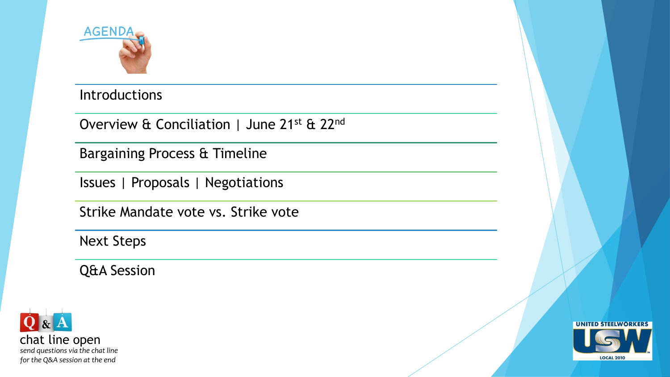

Introductions

Overview & Conciliation | June 21st & 22nd

Bargaining Process & Timeline

Issues | Proposals | Negotiations

Strike Mandate vote vs. Strike vote

Next Steps

Q&A Session



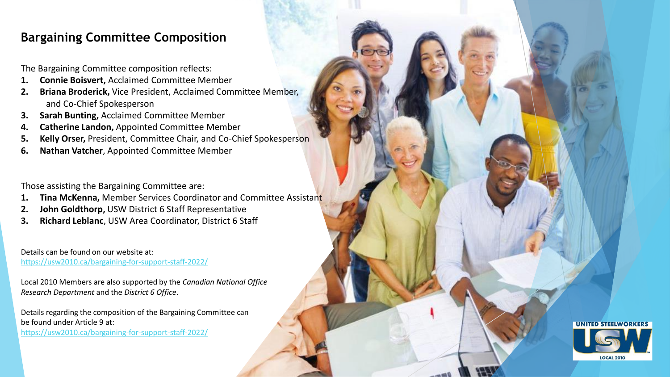#### **Bargaining Committee Composition**

The Bargaining Committee composition reflects:

- **1. Connie Boisvert,** Acclaimed Committee Member
- **2. Briana Broderick,** Vice President, Acclaimed Committee Member, and Co-Chief Spokesperson
- **3. Sarah Bunting,** Acclaimed Committee Member
- **4. Catherine Landon,** Appointed Committee Member
- **5. Kelly Orser,** President, Committee Chair, and Co-Chief Spokesperson
- **6. Nathan Vatcher**, Appointed Committee Member

Those assisting the Bargaining Committee are:

- **1. Tina McKenna,** Member Services Coordinator and Committee Assistant
- **2. John Goldthorp,** USW District 6 Staff Representative
- **3. Richard Leblanc**, USW Area Coordinator, District 6 Staff

Details can be found on our website at: [https://usw2010.ca/bargaining-for-support-staff-2022/](https://usw2010.ca/wp-content/uploads/2020/06/USW-Local-2010-2019-2021-Executed-FINAL.pdf)

Local 2010 Members are also supported by the *Canadian National Office Research Department* and the *District 6 Office*.

Details regarding the composition of the Bargaining Committee can be found under Article 9 at:

[https://usw2010.ca/bargaining-for-support-staff-2022/](https://usw2010.ca/wp-content/uploads/2020/06/USW-Local-2010-2019-2021-Executed-FINAL.pdf)

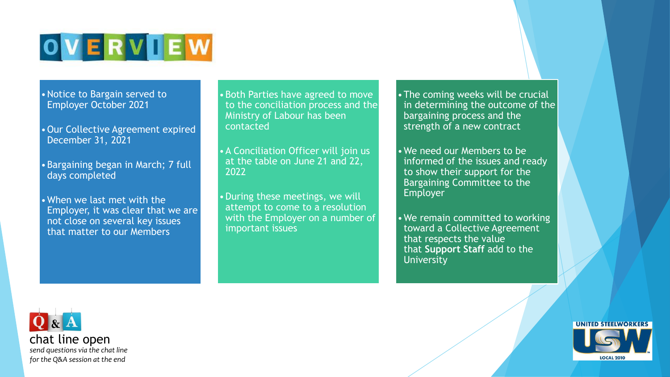# OVERVIEW

•Notice to Bargain served to Employer October 2021

- •Our Collective Agreement expired December 31, 2021
- •Bargaining began in March; 7 full days completed
- •When we last met with the Employer, it was clear that we are not close on several key issues that matter to our Members

•Both Parties have agreed to move to the conciliation process and the Ministry of Labour has been contacted

•A Conciliation Officer will join us at the table on June 21 and 22, 2022

•During these meetings, we will attempt to come to a resolution with the Employer on a number of important issues

•The coming weeks will be crucial in determining the outcome of the bargaining process and the strength of a new contract

•We need our Members to be informed of the issues and ready to show their support for the Bargaining Committee to the Employer

•We remain committed to working toward a Collective Agreement that respects the value that **Support Staff** add to the **University** 



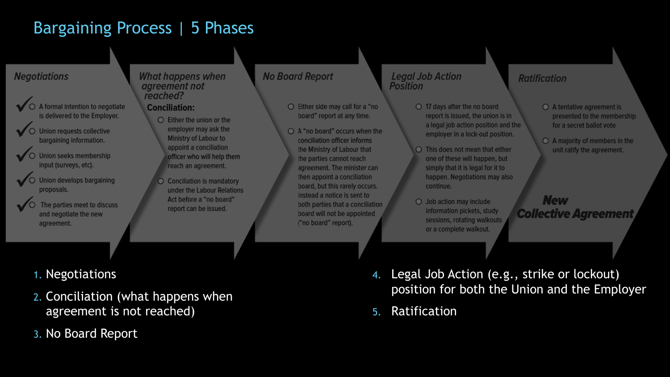### Bargaining Process | 5 Phases

#### **Negotiations**

- A formal intention to negotiate is delivered to the Employer.
- O Union requests collective bargaining information.
- Union seeks membership input (surveys, etc).
- Union develops bargaining proposals.
- The parties meet to discuss and negotiate the new agreement.

#### **What happens when** agreement not reached? **Conciliation:**

- $O$  Either the union or the employer may ask the Ministry of Labour to appoint a conciliation officer who will help them reach an agreement.
- $O$  Conciliation is mandatory under the Labour Relations Act before a "no board" report can be issued.

#### **No Board Report**

- $\bigcirc$  Either side may call for a "no board" report at any time.
- $\bigcirc$  A "no board" occurs when the conciliation officer informs the Ministry of Labour that the parties cannot reach agreement. The minister can then appoint a conciliation board, but this rarely occurs. Instead a notice is sent to both parties that a conciliation board will not be appointed ("no board" report).

#### **Legal Job Action Position**

- $O$  17 days after the no board report is issued, the union is in a legal job action position and the employer in a lock-out position.
- $\bigcirc$  This does not mean that either one of these will happen, but simply that it is legal for it to happen. Negotiations may also continue.
- $O$  Job action may include information pickets, study sessions, rotating walkouts or a complete walkout.

#### **Ratification**

- $O$  A tentative agreement is presented to the membership for a secret ballot vote
- $\bigcirc$  A majority of members in the unit ratify the agreement.

#### **New Collective Agreement**

- 1. Negotiations
- 2. Conciliation (what happens when agreement is not reached)
- 3. No Board Report
- 4. Legal Job Action (e.g., strike or lockout) position for both the Union and the Employer
- 5. Ratification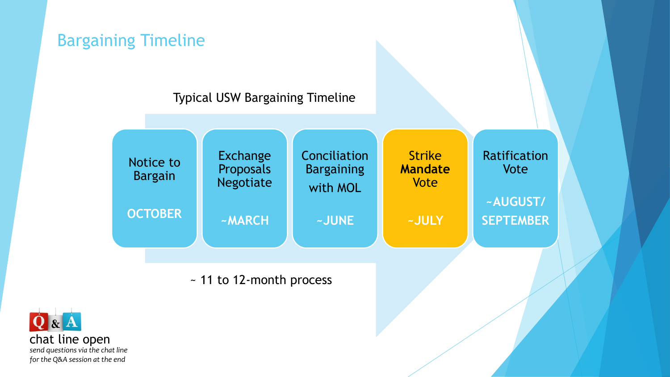### Bargaining Timeline

#### Typical USW Bargaining Timeline



~ 11 to 12-month process

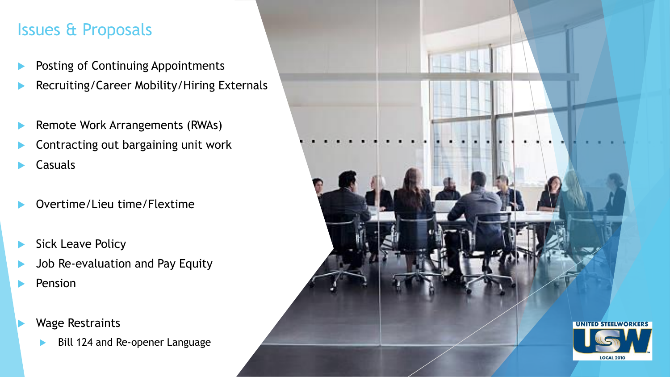### Issues & Proposals

- Posting of Continuing Appointments
- Recruiting/Career Mobility/Hiring Externals
- Remote Work Arrangements (RWAs)
- Contracting out bargaining unit work
- Casuals
- Overtime/Lieu time/Flextime
- Sick Leave Policy
- Job Re-evaluation and Pay Equity
- Pension
	- Wage Restraints
		- Bill 124 and Re-opener Language

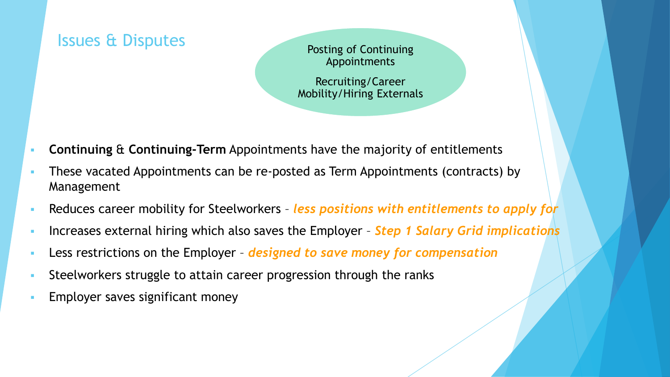# **ISSUES & Disputes** Posting of Continuing

Appointments

Recruiting/Career Mobility/Hiring Externals

- **Continuing** & **Continuing-Term** Appointments have the majority of entitlements
- **EXTED FIGHTS THESE** Vacated Appointments can be re-posted as Term Appointments (contracts) by Management
- Reduces career mobility for Steelworkers *less positions with entitlements to apply for*
- **EXT** Increases external hiring which also saves the Employer **Step 1 Salary Grid implications**
- Less restrictions on the Employer *designed to save money for compensation*
- **EXECO** Steelworkers struggle to attain career progression through the ranks
- Employer saves significant money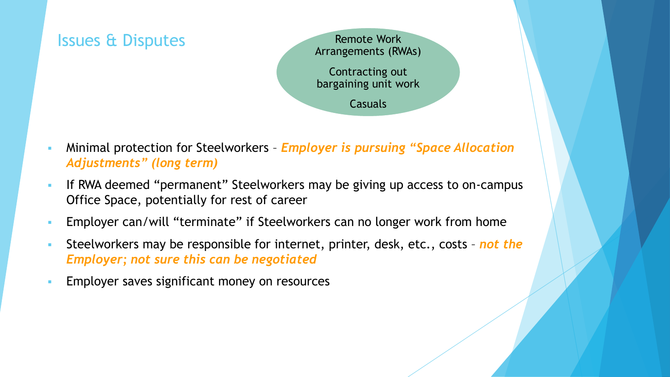### Issues & Disputes **Remote Work** Arrangements (RWAs) Contracting out bargaining unit work Casuals

- Minimal protection for Steelworkers *Employer is pursuing "Space Allocation Adjustments" (long term)*
- **If RWA deemed "permanent" Steelworkers may be giving up access to on-campus** Office Space, potentially for rest of career
- **Employer can/will "terminate" if Steelworkers can no longer work from home**
- Steelworkers may be responsible for internet, printer, desk, etc., costs *not the Employer; not sure this can be negotiated*
- **Employer saves significant money on resources**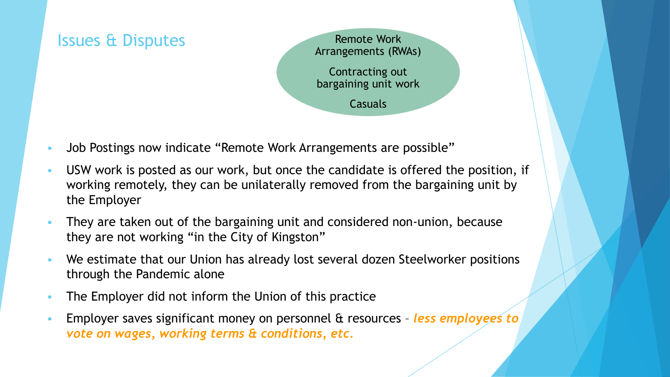### Issues & Disputes **Remote Work** Arrangements (RWAs) Contracting out bargaining unit work Casuals

- Job Postings now indicate "Remote Work Arrangements are possible"
- USW work is posted as our work, but once the candidate is offered the position, if working remotely, they can be unilaterally removed from the bargaining unit by the Employer
- **They are taken out of the bargaining unit and considered non-union, because** they are not working "in the City of Kingston"
- We estimate that our Union has already lost several dozen Steelworker positions through the Pandemic alone
- **The Employer did not inform the Union of this practice**
- Employer saves significant money on personnel & resources *less employees to vote on wages, working terms & conditions, etc.*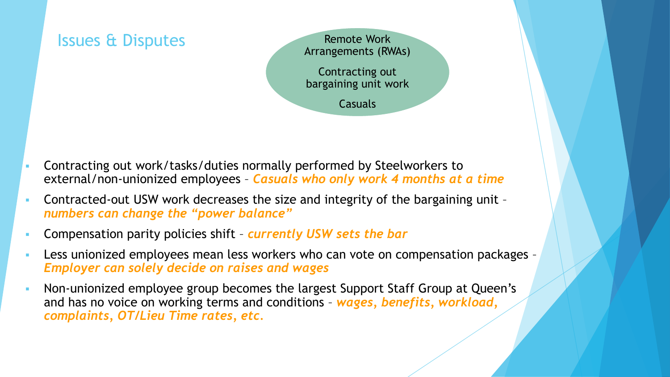

- Contracting out work/tasks/duties normally performed by Steelworkers to external/non-unionized employees – *Casuals who only work 4 months at a time*
- Contracted-out USW work decreases the size and integrity of the bargaining unit *numbers can change the "power balance"*
- Compensation parity policies shift *currently USW sets the bar*
- Less unionized employees mean less workers who can vote on compensation packages -*Employer can solely decide on raises and wages*
- Non-unionized employee group becomes the largest Support Staff Group at Queen's and has no voice on working terms and conditions – *wages, benefits, workload, complaints, OT/Lieu Time rates, etc.*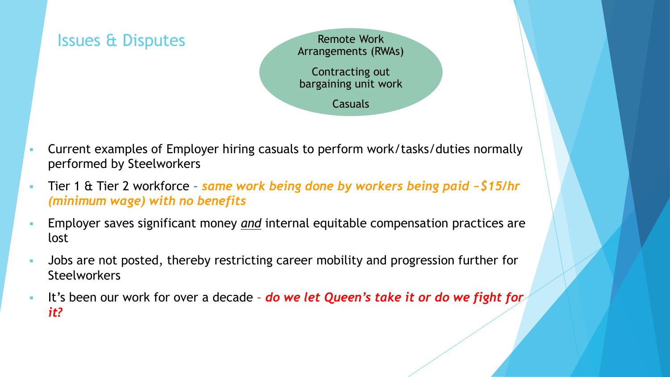

- Current examples of Employer hiring casuals to perform work/tasks/duties normally performed by Steelworkers
- Tier 1 & Tier 2 workforce *same work being done by workers being paid ~\$15/hr (minimum wage) with no benefits*
- Employer saves significant money *and* internal equitable compensation practices are lost
- Jobs are not posted, thereby restricting career mobility and progression further for **Steelworkers**
- It's been our work for over a decade *do we let Queen's take it or do we fight for it?*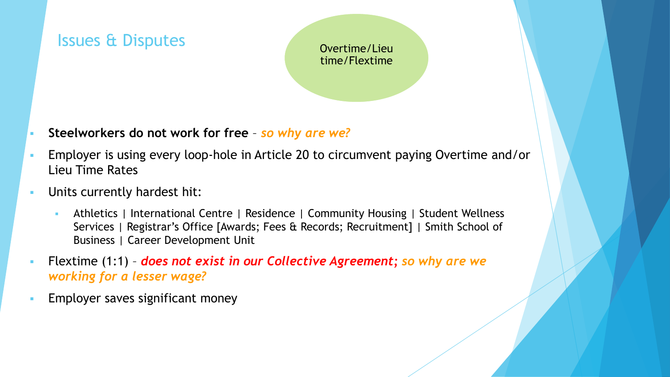### **ISSUES & Disputes Contract Contract Contract Contract Contract Contract Contract Contract Contract Contract Contract Contract Contract Contract Contract Contract Contract Contract Contract Contract Contract Contract Contr**

time/Flextime

- **Steelworkers do not work for free**  *so why are we?*
- **Employer is using every loop-hole in Article 20 to circumvent paying Overtime and/or** Lieu Time Rates
- **E** Units currently hardest hit:
	- Athletics | International Centre | Residence | Community Housing | Student Wellness Services | Registrar's Office [Awards; Fees & Records; Recruitment] | Smith School of Business | Career Development Unit
- Flextime (1:1) *does not exist in our Collective Agreement; so why are we working for a lesser wage?*
- **Employer saves significant money**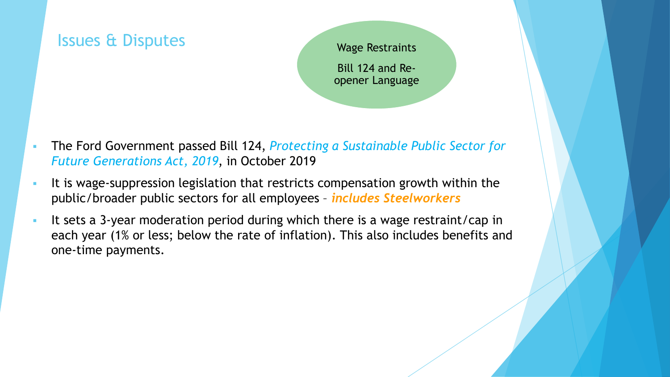## **ISSUES & Disputes** Wage Restraints

Bill 124 and Reopener Language

- The Ford Government passed Bill 124, *Protecting a Sustainable Public Sector for Future Generations Act, 2019*, in October 2019
- It is wage-suppression legislation that restricts compensation growth within the public/broader public sectors for all employees – *includes Steelworkers*
- It sets a 3-year moderation period during which there is a wage restraint/cap in each year (1% or less; below the rate of inflation). This also includes benefits and one-time payments.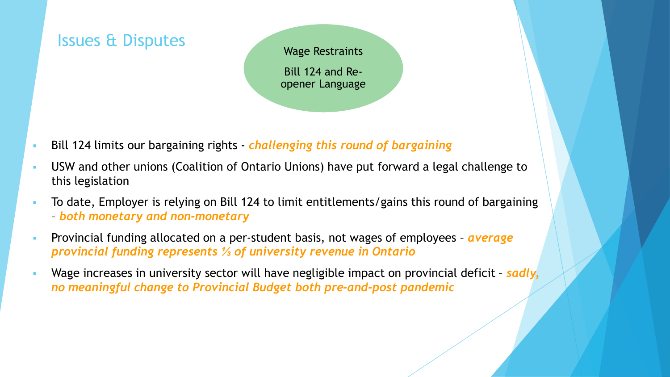Wage Restraints Bill 124 and Reopener Language

- Bill 124 limits our bargaining rights *challenging this round of bargaining*
- USW and other unions (Coalition of Ontario Unions) have put forward a legal challenge to this legislation
- To date, Employer is relying on Bill 124 to limit entitlements/gains this round of bargaining – *both monetary and non-monetary*
- Provincial funding allocated on a per-student basis, not wages of employees *average provincial funding represents ⅓ of university revenue in Ontario*
- Wage increases in university sector will have negligible impact on provincial deficit **sadly**, *no meaningful change to Provincial Budget both pre-and-post pandemic*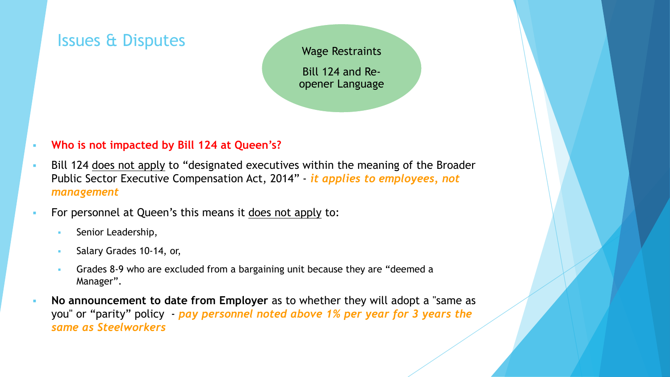Wage Restraints

Bill 124 and Reopener Language

- **Who is not impacted by Bill 124 at Queen's?**
- Bill 124 does not apply to "designated executives within the meaning of the Broader Public Sector Executive Compensation Act, 2014" - *it applies to employees, not management*
- For personnel at Queen's this means it does not apply to:
	- **•** Senior Leadership,
	- Salary Grades 10-14, or,
	- Grades 8-9 who are excluded from a bargaining unit because they are "deemed a Manager".
- No announcement to date from Employer as to whether they will adopt a "same as you" or "parity" policy - *pay personnel noted above 1% per year for 3 years the same as Steelworkers*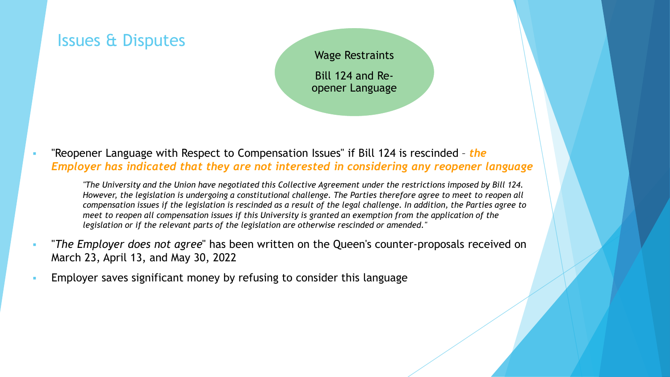Wage Restraints Bill 124 and Reopener Language

▪ "Reopener Language with Respect to Compensation Issues" if Bill 124 is rescinded – *the Employer has indicated that they are not interested in considering any reopener language*

*"The University and the Union have negotiated this Collective Agreement under the restrictions imposed by Bill 124. However, the legislation is undergoing a constitutional challenge. The Parties therefore agree to meet to reopen all compensation issues if the legislation is rescinded as a result of the legal challenge. In addition, the Parties agree to meet to reopen all compensation issues if this University is granted an exemption from the application of the legislation or if the relevant parts of the legislation are otherwise rescinded or amended."* 

- "*The Employer does not agree*" has been written on the Queen's counter-proposals received on March 23, April 13, and May 30, 2022
- Employer saves significant money by refusing to consider this language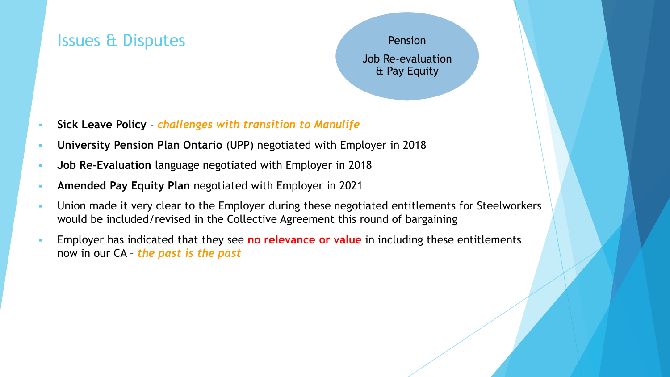#### Issues & Disputes **Pension**

# Job Re-evaluation & Pay Equity

- **Sick Leave Policy**  *challenges with transition to Manulife*
- **University Pension Plan Ontario** (UPP) negotiated with Employer in 2018
- **Job Re-Evaluation** language negotiated with Employer in 2018
- **Amended Pay Equity Plan** negotiated with Employer in 2021
- Union made it very clear to the Employer during these negotiated entitlements for Steelworkers would be included/revised in the Collective Agreement this round of bargaining
- **E** Employer has indicated that they see **no relevance or value** in including these entitlements now in our CA – *the past is the past*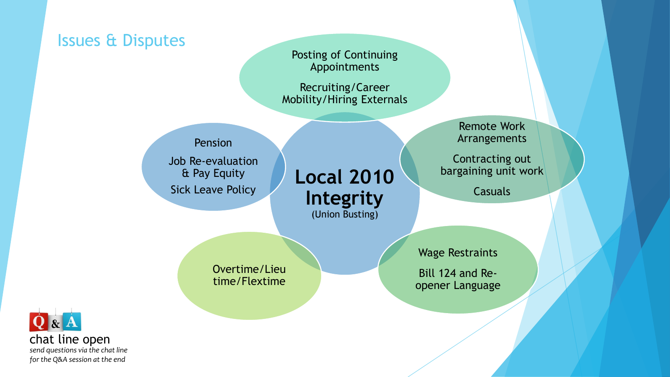Posting of Continuing Appointments

Recruiting/Career Mobility/Hiring Externals

**Local 2010** 

**Integrity**

(Union Busting)

Remote Work Arrangements

Contracting out bargaining unit work

Casuals

Overtime/Lieu time/Flextime

Pension

Job Re-evaluation & Pay Equity

Sick Leave Policy

Wage Restraints

Bill 124 and Reopener Language

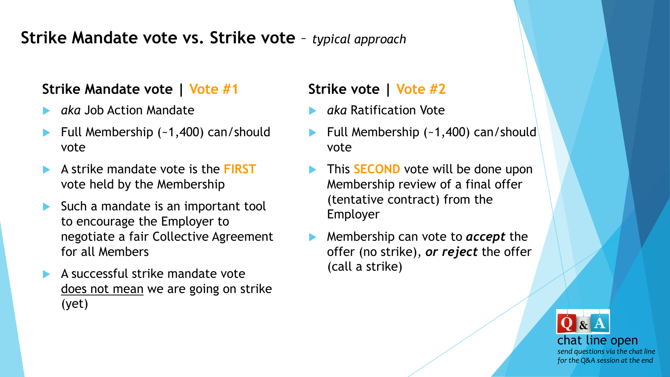### **Strike Mandate vote vs. Strike vote** – *typical approach*

#### **Strike Mandate vote | Vote #1**

- *aka* Job Action Mandate
- Full Membership (~1,400) can/should vote
- A strike mandate vote is the **FIRST** vote held by the Membership
- Such a mandate is an important tool to encourage the Employer to negotiate a fair Collective Agreement for all Members
- A successful strike mandate vote does not mean we are going on strike (yet)

#### **Strike vote | Vote #2**

- *aka* Ratification Vote
- Full Membership (~1,400) can/should vote
- **This SECOND** vote will be done upon Membership review of a final offer (tentative contract) from the Employer
- Membership can vote to *accept* the offer (no strike), *or reject* the offer (call a strike)



chat line open *send questions via the chat line for the Q&A session at the end*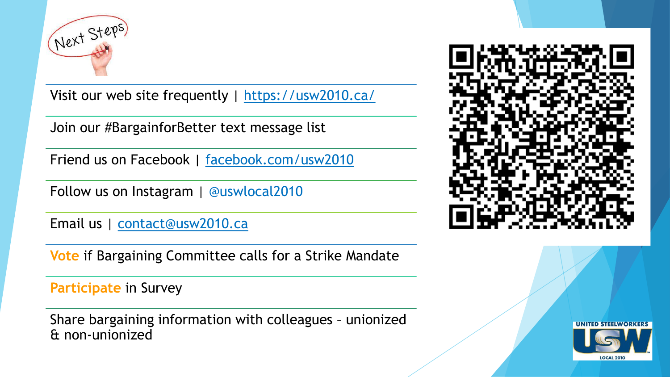

Visit our web site frequently |<https://usw2010.ca/>

Join our #BargainforBetter text message list

Friend us on Facebook |<facebook.com/usw2010>

Follow us on Instagram | @uswlocal2010

Email us | [contact@usw2010.ca](mailto:contact@usw2010.ca)

**Vote** if Bargaining Committee calls for a Strike Mandate

**Participate** in Survey

Share bargaining information with colleagues – unionized & non-unionized